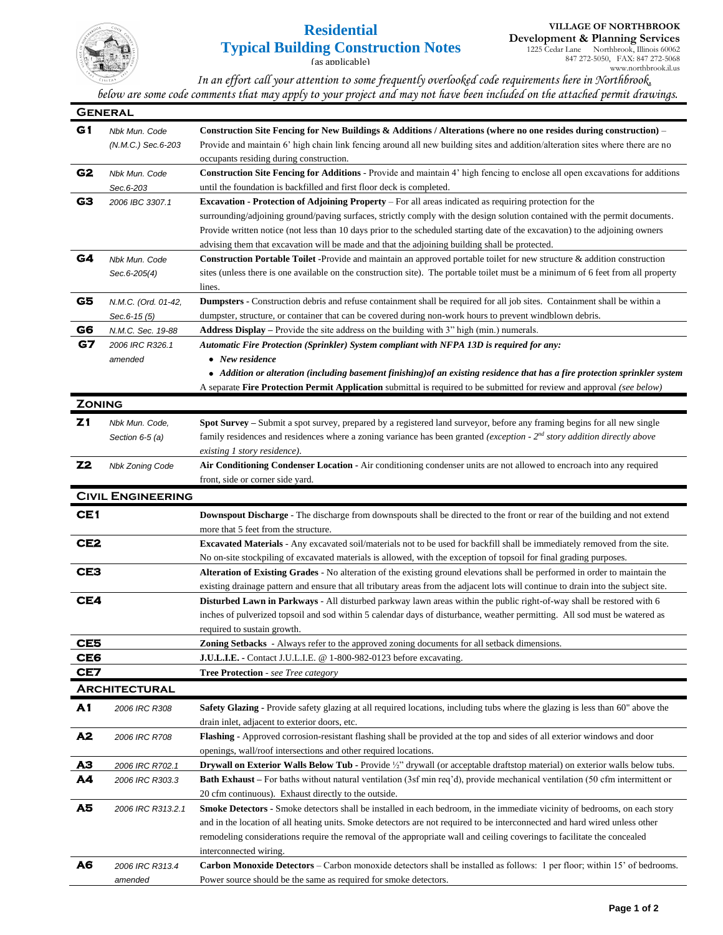

## **Residential Typical Building Construction Notes**

(as applicable)

1225 Cedar Lane Northbrook, Illinois 60062 847 272-5050, FAX: 847 272-5068 www.northbrook.il.us

*In an effort call your attention to some frequently overlooked code requirements here in Northbrook, below are some code comments that may apply to your project and may not have been included on the attached permit drawings.*

| <b>GENERAL</b>  |                          |                                                                                                                                                                                                                                                    |  |
|-----------------|--------------------------|----------------------------------------------------------------------------------------------------------------------------------------------------------------------------------------------------------------------------------------------------|--|
| G1              | Nbk Mun. Code            | Construction Site Fencing for New Buildings & Additions / Alterations (where no one resides during construction) –                                                                                                                                 |  |
|                 | (N.M.C.) Sec.6-203       | Provide and maintain 6' high chain link fencing around all new building sites and addition/alteration sites where there are no                                                                                                                     |  |
|                 |                          | occupants residing during construction.                                                                                                                                                                                                            |  |
| G2              | Nbk Mun. Code            | Construction Site Fencing for Additions - Provide and maintain 4' high fencing to enclose all open excavations for additions                                                                                                                       |  |
|                 | Sec.6-203                | until the foundation is backfilled and first floor deck is completed.                                                                                                                                                                              |  |
| G3              | 2006 IBC 3307.1          | <b>Excavation - Protection of Adjoining Property – For all areas indicated as requiring protection for the</b>                                                                                                                                     |  |
|                 |                          | surrounding/adjoining ground/paving surfaces, strictly comply with the design solution contained with the permit documents.                                                                                                                        |  |
|                 |                          | Provide written notice (not less than 10 days prior to the scheduled starting date of the excavation) to the adjoining owners                                                                                                                      |  |
|                 |                          | advising them that excavation will be made and that the adjoining building shall be protected.                                                                                                                                                     |  |
| G4              | Nbk Mun. Code            | Construction Portable Toilet -Provide and maintain an approved portable toilet for new structure & addition construction                                                                                                                           |  |
|                 | Sec.6-205(4)             | sites (unless there is one available on the construction site). The portable toilet must be a minimum of 6 feet from all property                                                                                                                  |  |
|                 |                          | lines.                                                                                                                                                                                                                                             |  |
| G5              | N.M.C. (Ord. 01-42,      | Dumpsters - Construction debris and refuse containment shall be required for all job sites. Containment shall be within a                                                                                                                          |  |
|                 | Sec.6-15 (5)             | dumpster, structure, or container that can be covered during non-work hours to prevent windblown debris.                                                                                                                                           |  |
| G6<br>G7        | N.M.C. Sec. 19-88        | <b>Address Display</b> – Provide the site address on the building with 3" high (min.) numerals.                                                                                                                                                    |  |
|                 | 2006 IRC R326.1          | Automatic Fire Protection (Sprinkler) System compliant with NFPA 13D is required for any:<br>• New residence                                                                                                                                       |  |
|                 | amended                  | • Addition or alteration (including basement finishing) of an existing residence that has a fire protection sprinkler system                                                                                                                       |  |
|                 |                          | A separate Fire Protection Permit Application submittal is required to be submitted for review and approval (see below)                                                                                                                            |  |
| <b>ZONING</b>   |                          |                                                                                                                                                                                                                                                    |  |
|                 |                          |                                                                                                                                                                                                                                                    |  |
| Z1              | Nbk Mun. Code,           | Spot Survey - Submit a spot survey, prepared by a registered land surveyor, before any framing begins for all new single                                                                                                                           |  |
|                 | Section $6-5$ (a)        | family residences and residences where a zoning variance has been granted (exception - $2nd$ story addition directly above                                                                                                                         |  |
| <b>Z2</b>       |                          | existing 1 story residence).                                                                                                                                                                                                                       |  |
|                 | <b>Nbk Zoning Code</b>   | Air Conditioning Condenser Location - Air conditioning condenser units are not allowed to encroach into any required<br>front, side or corner side yard.                                                                                           |  |
|                 |                          |                                                                                                                                                                                                                                                    |  |
|                 | <b>CIVIL ENGINEERING</b> |                                                                                                                                                                                                                                                    |  |
| CE1             |                          | <b>Downspout Discharge</b> - The discharge from downspouts shall be directed to the front or rear of the building and not extend                                                                                                                   |  |
|                 |                          | more that 5 feet from the structure.                                                                                                                                                                                                               |  |
| CE <sub>2</sub> |                          | <b>Excavated Materials</b> - Any excavated soil/materials not to be used for backfill shall be immediately removed from the site.                                                                                                                  |  |
| CE3             |                          | No on-site stockpiling of excavated materials is allowed, with the exception of topsoil for final grading purposes.<br>Alteration of Existing Grades - No alteration of the existing ground elevations shall be performed in order to maintain the |  |
|                 |                          | existing drainage pattern and ensure that all tributary areas from the adjacent lots will continue to drain into the subject site.                                                                                                                 |  |
| CE4             |                          | <b>Disturbed Lawn in Parkways</b> - All disturbed parkway lawn areas within the public right-of-way shall be restored with 6                                                                                                                       |  |
|                 |                          | inches of pulverized topsoil and sod within 5 calendar days of disturbance, weather permitting. All sod must be watered as                                                                                                                         |  |
|                 |                          | required to sustain growth.                                                                                                                                                                                                                        |  |
| CE <sub>5</sub> |                          | <b>Zoning Setbacks</b> - Always refer to the approved zoning documents for all setback dimensions.                                                                                                                                                 |  |
| CE6             |                          | J.U.L.I.E. - Contact J.U.L.I.E. @ 1-800-982-0123 before excavating.                                                                                                                                                                                |  |
| CE7             |                          | Tree Protection - see Tree category                                                                                                                                                                                                                |  |
|                 | <b>ARCHITECTURAL</b>     |                                                                                                                                                                                                                                                    |  |
| A1              | 2006 IRC R308            | <b>Safety Glazing -</b> Provide safety glazing at all required locations, including tubs where the glazing is less than 60" above the                                                                                                              |  |
|                 |                          | drain inlet, adjacent to exterior doors, etc.                                                                                                                                                                                                      |  |
| Å <sub>2</sub>  | 2006 IRC R708            | Flashing - Approved corrosion-resistant flashing shall be provided at the top and sides of all exterior windows and door                                                                                                                           |  |
|                 |                          | openings, wall/roof intersections and other required locations.                                                                                                                                                                                    |  |
| AЗ              | 2006 IRC R702.1          | <b>Drywall on Exterior Walls Below Tub -</b> Provide $\frac{1}{2}$ " drywall (or acceptable draftstop material) on exterior walls below tubs.                                                                                                      |  |
| A4              | 2006 IRC R303.3          | <b>Bath Exhaust</b> – For baths without natural ventilation (3sf min req'd), provide mechanical ventilation (50 cfm intermittent or                                                                                                                |  |
|                 |                          | 20 cfm continuous). Exhaust directly to the outside.                                                                                                                                                                                               |  |
| A5              | 2006 IRC R313.2.1        | Smoke Detectors - Smoke detectors shall be installed in each bedroom, in the immediate vicinity of bedrooms, on each story                                                                                                                         |  |
|                 |                          | and in the location of all heating units. Smoke detectors are not required to be interconnected and hard wired unless other                                                                                                                        |  |
|                 |                          | remodeling considerations require the removal of the appropriate wall and ceiling coverings to facilitate the concealed                                                                                                                            |  |
|                 |                          | interconnected wiring.                                                                                                                                                                                                                             |  |
| Å6              | 2006 IRC R313.4          | <b>Carbon Monoxide Detectors</b> – Carbon monoxide detectors shall be installed as follows: 1 per floor; within 15' of bedrooms.                                                                                                                   |  |
|                 | amended                  | Power source should be the same as required for smoke detectors.                                                                                                                                                                                   |  |